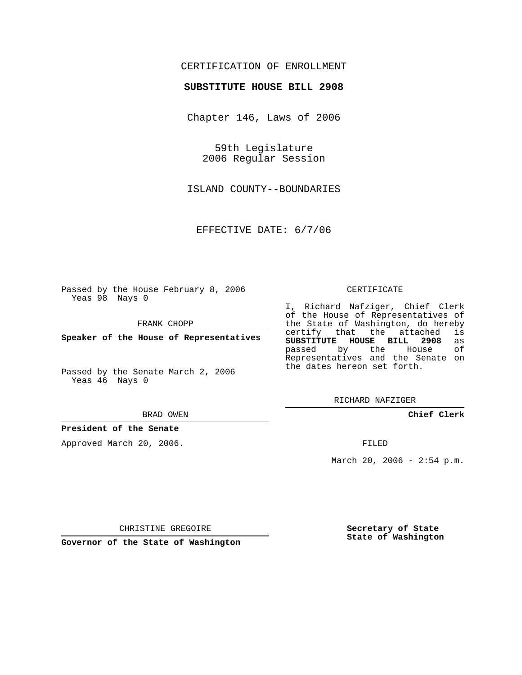## CERTIFICATION OF ENROLLMENT

### **SUBSTITUTE HOUSE BILL 2908**

Chapter 146, Laws of 2006

59th Legislature 2006 Regular Session

ISLAND COUNTY--BOUNDARIES

EFFECTIVE DATE: 6/7/06

Passed by the House February 8, 2006 Yeas 98 Nays 0

FRANK CHOPP

**Speaker of the House of Representatives**

Passed by the Senate March 2, 2006 Yeas 46 Nays 0

#### BRAD OWEN

## **President of the Senate**

Approved March 20, 2006.

#### CERTIFICATE

I, Richard Nafziger, Chief Clerk of the House of Representatives of the State of Washington, do hereby<br>certify that the attached is certify that the attached **SUBSTITUTE HOUSE BILL 2908** as passed by the Representatives and the Senate on the dates hereon set forth.

RICHARD NAFZIGER

## **Chief Clerk**

FILED

March 20, 2006 -  $2:54$  p.m.

CHRISTINE GREGOIRE

**Governor of the State of Washington**

**Secretary of State State of Washington**